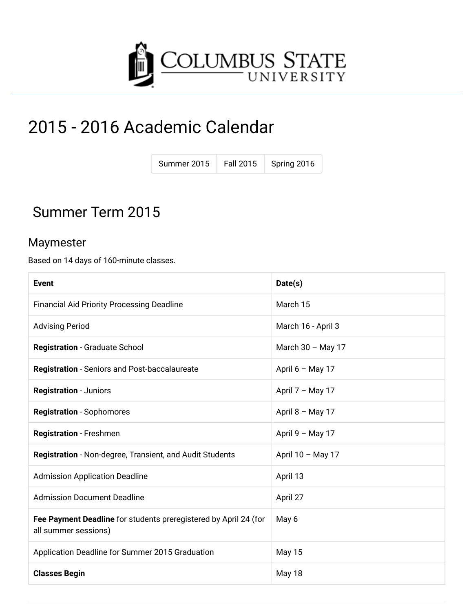

# 2015 - 2016 Academic Calendar

| Summer 2015 | <b>Fall 2015</b> | Spring 2016 |
|-------------|------------------|-------------|
|             |                  |             |

### Summer Term 2015

#### Maymester

Based on 14 days of 160-minute classes.

| Event                                                                                    | Date(s)            |
|------------------------------------------------------------------------------------------|--------------------|
| <b>Financial Aid Priority Processing Deadline</b>                                        | March 15           |
| <b>Advising Period</b>                                                                   | March 16 - April 3 |
| <b>Registration - Graduate School</b>                                                    | March 30 - May 17  |
| <b>Registration</b> - Seniors and Post-baccalaureate                                     | April $6 -$ May 17 |
| <b>Registration - Juniors</b>                                                            | April 7 - May 17   |
| <b>Registration</b> - Sophomores                                                         | April $8 - May 17$ |
| <b>Registration - Freshmen</b>                                                           | April 9 - May 17   |
| Registration - Non-degree, Transient, and Audit Students                                 | April 10 - May 17  |
| <b>Admission Application Deadline</b>                                                    | April 13           |
| <b>Admission Document Deadline</b>                                                       | April 27           |
| Fee Payment Deadline for students preregistered by April 24 (for<br>all summer sessions) | May 6              |
| Application Deadline for Summer 2015 Graduation                                          | <b>May 15</b>      |
| <b>Classes Begin</b>                                                                     | May 18             |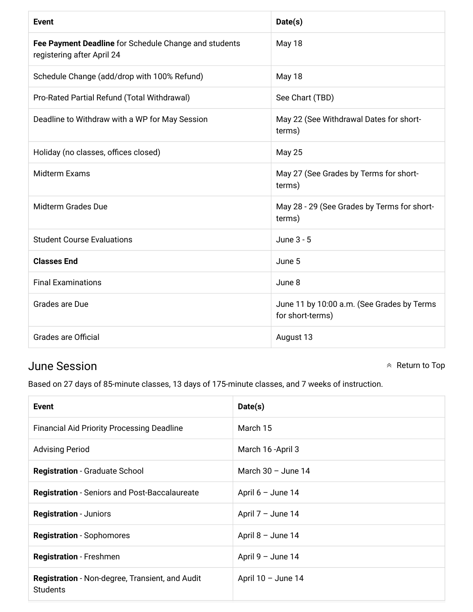| <b>Event</b>                                                                        | Date(s)                                                        |
|-------------------------------------------------------------------------------------|----------------------------------------------------------------|
| Fee Payment Deadline for Schedule Change and students<br>registering after April 24 | May 18                                                         |
| Schedule Change (add/drop with 100% Refund)                                         | May 18                                                         |
| Pro-Rated Partial Refund (Total Withdrawal)                                         | See Chart (TBD)                                                |
| Deadline to Withdraw with a WP for May Session                                      | May 22 (See Withdrawal Dates for short-<br>terms)              |
| Holiday (no classes, offices closed)                                                | <b>May 25</b>                                                  |
| <b>Midterm Exams</b>                                                                | May 27 (See Grades by Terms for short-<br>terms)               |
| <b>Midterm Grades Due</b>                                                           | May 28 - 29 (See Grades by Terms for short-<br>terms)          |
| <b>Student Course Evaluations</b>                                                   | June 3 - 5                                                     |
| <b>Classes End</b>                                                                  | June 5                                                         |
| <b>Final Examinations</b>                                                           | June 8                                                         |
| Grades are Due                                                                      | June 11 by 10:00 a.m. (See Grades by Terms<br>for short-terms) |
| <b>Grades are Official</b>                                                          | August 13                                                      |

#### **June Session**

 $\land$  Return to Top

Based on 27 days of 85-minute classes, 13 days of 175-minute classes, and 7 weeks of instruction.

| Event                                                                     | Date(s)              |
|---------------------------------------------------------------------------|----------------------|
| <b>Financial Aid Priority Processing Deadline</b>                         | March 15             |
| <b>Advising Period</b>                                                    | March 16 - April 3   |
| <b>Registration - Graduate School</b>                                     | March $30 -$ June 14 |
| <b>Registration</b> - Seniors and Post-Baccalaureate                      | April $6 -$ June 14  |
| <b>Registration - Juniors</b>                                             | April $7 -$ June 14  |
| <b>Registration</b> - Sophomores                                          | April $8 -$ June 14  |
| <b>Registration</b> - Freshmen                                            | April $9 -$ June 14  |
| <b>Registration</b> - Non-degree, Transient, and Audit<br><b>Students</b> | April $10 -$ June 14 |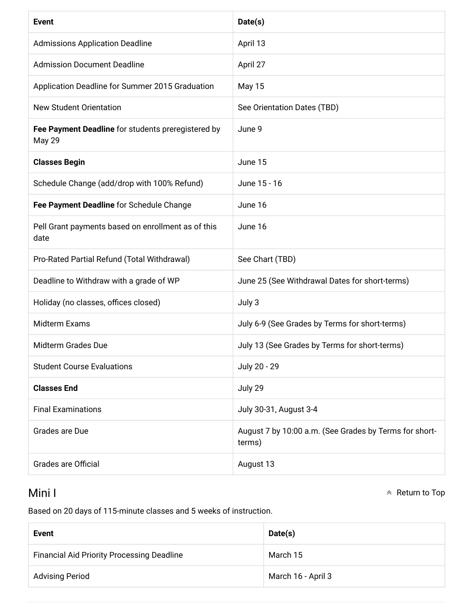| <b>Event</b>                                                        | Date(s)                                                          |
|---------------------------------------------------------------------|------------------------------------------------------------------|
| <b>Admissions Application Deadline</b>                              | April 13                                                         |
| <b>Admission Document Deadline</b>                                  | April 27                                                         |
| Application Deadline for Summer 2015 Graduation                     | <b>May 15</b>                                                    |
| <b>New Student Orientation</b>                                      | See Orientation Dates (TBD)                                      |
| Fee Payment Deadline for students preregistered by<br><b>May 29</b> | June 9                                                           |
| <b>Classes Begin</b>                                                | June 15                                                          |
| Schedule Change (add/drop with 100% Refund)                         | June 15 - 16                                                     |
| Fee Payment Deadline for Schedule Change                            | June 16                                                          |
| Pell Grant payments based on enrollment as of this<br>date          | June 16                                                          |
| Pro-Rated Partial Refund (Total Withdrawal)                         | See Chart (TBD)                                                  |
| Deadline to Withdraw with a grade of WP                             | June 25 (See Withdrawal Dates for short-terms)                   |
| Holiday (no classes, offices closed)                                | July 3                                                           |
| <b>Midterm Exams</b>                                                | July 6-9 (See Grades by Terms for short-terms)                   |
| <b>Midterm Grades Due</b>                                           | July 13 (See Grades by Terms for short-terms)                    |
| <b>Student Course Evaluations</b>                                   | July 20 - 29                                                     |
| <b>Classes End</b>                                                  | July 29                                                          |
| <b>Final Examinations</b>                                           | July 30-31, August 3-4                                           |
| Grades are Due                                                      | August 7 by 10:00 a.m. (See Grades by Terms for short-<br>terms) |
| <b>Grades are Official</b>                                          | August 13                                                        |

#### Mini I

 $\land$  Return to Top

Based on 20 days of 115-minute classes and 5 weeks of instruction.

| <b>Event</b>                                      | Date(s)            |
|---------------------------------------------------|--------------------|
| <b>Financial Aid Priority Processing Deadline</b> | March 15           |
| <b>Advising Period</b>                            | March 16 - April 3 |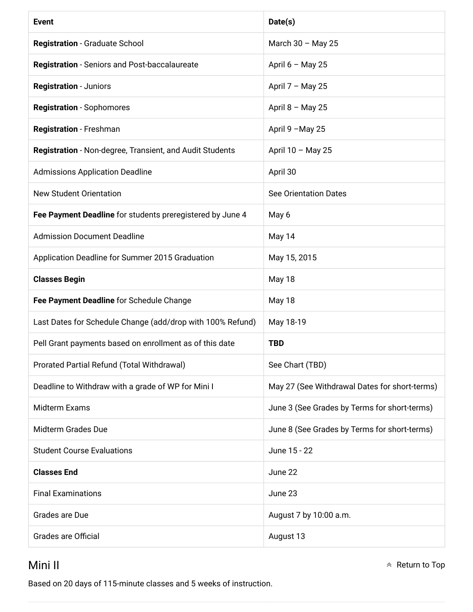| <b>Event</b>                                               | Date(s)                                       |
|------------------------------------------------------------|-----------------------------------------------|
| <b>Registration - Graduate School</b>                      | March $30 -$ May 25                           |
| <b>Registration</b> - Seniors and Post-baccalaureate       | April $6 - May 25$                            |
| <b>Registration - Juniors</b>                              | April 7 - May 25                              |
| <b>Registration - Sophomores</b>                           | April $8 -$ May 25                            |
| Registration - Freshman                                    | April 9 - May 25                              |
| Registration - Non-degree, Transient, and Audit Students   | April 10 - May 25                             |
| <b>Admissions Application Deadline</b>                     | April 30                                      |
| <b>New Student Orientation</b>                             | <b>See Orientation Dates</b>                  |
| Fee Payment Deadline for students preregistered by June 4  | May 6                                         |
| <b>Admission Document Deadline</b>                         | May 14                                        |
| Application Deadline for Summer 2015 Graduation            | May 15, 2015                                  |
| <b>Classes Begin</b>                                       | <b>May 18</b>                                 |
| Fee Payment Deadline for Schedule Change                   | May 18                                        |
| Last Dates for Schedule Change (add/drop with 100% Refund) | May 18-19                                     |
| Pell Grant payments based on enrollment as of this date    | <b>TBD</b>                                    |
| Prorated Partial Refund (Total Withdrawal)                 | See Chart (TBD)                               |
| Deadline to Withdraw with a grade of WP for Mini I         | May 27 (See Withdrawal Dates for short-terms) |
| <b>Midterm Exams</b>                                       | June 3 (See Grades by Terms for short-terms)  |
| <b>Midterm Grades Due</b>                                  | June 8 (See Grades by Terms for short-terms)  |
| <b>Student Course Evaluations</b>                          | June 15 - 22                                  |
| <b>Classes End</b>                                         | June 22                                       |
| <b>Final Examinations</b>                                  | June 23                                       |
| Grades are Due                                             | August 7 by 10:00 a.m.                        |
| <b>Grades are Official</b>                                 | August 13                                     |

#### Mini II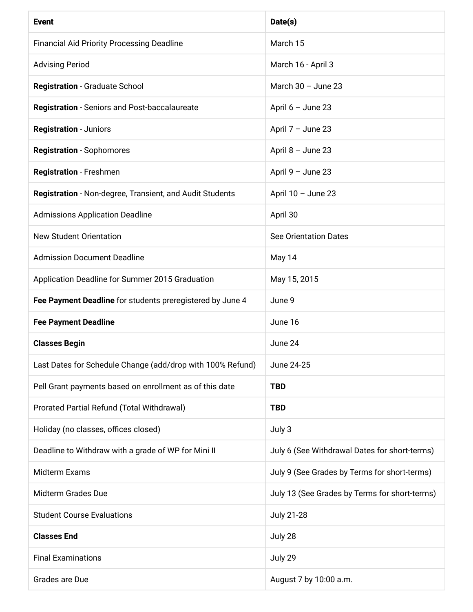| <b>Event</b>                                                    | Date(s)                                       |
|-----------------------------------------------------------------|-----------------------------------------------|
| <b>Financial Aid Priority Processing Deadline</b>               | March 15                                      |
| <b>Advising Period</b>                                          | March 16 - April 3                            |
| <b>Registration - Graduate School</b>                           | March $30 -$ June 23                          |
| <b>Registration - Seniors and Post-baccalaureate</b>            | April $6 -$ June 23                           |
| <b>Registration - Juniors</b>                                   | April $7 -$ June 23                           |
| <b>Registration - Sophomores</b>                                | April 8 - June 23                             |
| Registration - Freshmen                                         | April 9 - June 23                             |
| <b>Registration</b> - Non-degree, Transient, and Audit Students | April $10 -$ June 23                          |
| <b>Admissions Application Deadline</b>                          | April 30                                      |
| <b>New Student Orientation</b>                                  | <b>See Orientation Dates</b>                  |
| <b>Admission Document Deadline</b>                              | May 14                                        |
| Application Deadline for Summer 2015 Graduation                 | May 15, 2015                                  |
| Fee Payment Deadline for students preregistered by June 4       | June 9                                        |
| <b>Fee Payment Deadline</b>                                     | June 16                                       |
| <b>Classes Begin</b>                                            | June 24                                       |
| Last Dates for Schedule Change (add/drop with 100% Refund)      | June 24-25                                    |
| Pell Grant payments based on enrollment as of this date         | <b>TBD</b>                                    |
| Prorated Partial Refund (Total Withdrawal)                      | <b>TBD</b>                                    |
| Holiday (no classes, offices closed)                            | July 3                                        |
| Deadline to Withdraw with a grade of WP for Mini II             | July 6 (See Withdrawal Dates for short-terms) |
| Midterm Exams                                                   | July 9 (See Grades by Terms for short-terms)  |
| Midterm Grades Due                                              | July 13 (See Grades by Terms for short-terms) |
| <b>Student Course Evaluations</b>                               | <b>July 21-28</b>                             |
| <b>Classes End</b>                                              | July 28                                       |
| <b>Final Examinations</b>                                       | July 29                                       |
| Grades are Due                                                  | August 7 by 10:00 a.m.                        |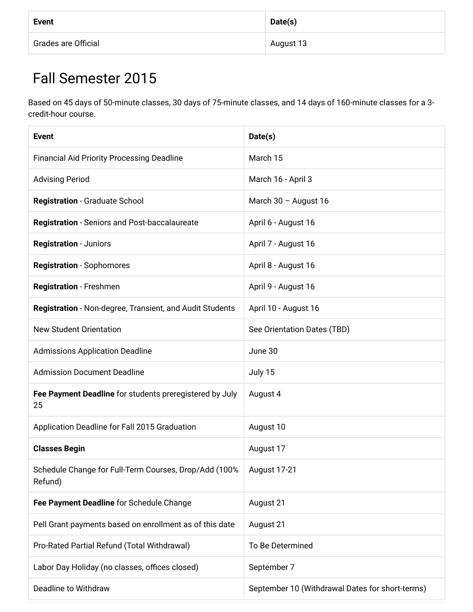| <b>Event</b>               | Date(s)   |
|----------------------------|-----------|
| <b>Grades are Official</b> | August 13 |

### Fall Semester 2015

Based on 45 days of 50-minute classes, 30 days of 75-minute classes, and 14 days of 160-minute classes for a 3credit-hour course.

| <b>Event</b>                                                     | Date(s)                                         |
|------------------------------------------------------------------|-------------------------------------------------|
| <b>Financial Aid Priority Processing Deadline</b>                | March 15                                        |
| <b>Advising Period</b>                                           | March 16 - April 3                              |
| <b>Registration - Graduate School</b>                            | March 30 - August 16                            |
| <b>Registration</b> - Seniors and Post-baccalaureate             | April 6 - August 16                             |
| <b>Registration - Juniors</b>                                    | April 7 - August 16                             |
| <b>Registration - Sophomores</b>                                 | April 8 - August 16                             |
| Registration - Freshmen                                          | April 9 - August 16                             |
| Registration - Non-degree, Transient, and Audit Students         | April 10 - August 16                            |
| <b>New Student Orientation</b>                                   | See Orientation Dates (TBD)                     |
| <b>Admissions Application Deadline</b>                           | June 30                                         |
| <b>Admission Document Deadline</b>                               | July 15                                         |
| Fee Payment Deadline for students preregistered by July<br>25    | August 4                                        |
| Application Deadline for Fall 2015 Graduation                    | August 10                                       |
| <b>Classes Begin</b>                                             | August 17                                       |
| Schedule Change for Full-Term Courses, Drop/Add (100%<br>Refund) | <b>August 17-21</b>                             |
| Fee Payment Deadline for Schedule Change                         | August 21                                       |
| Pell Grant payments based on enrollment as of this date          | August 21                                       |
| Pro-Rated Partial Refund (Total Withdrawal)                      | To Be Determined                                |
| Labor Day Holiday (no classes, offices closed)                   | September 7                                     |
| Deadline to Withdraw                                             | September 10 (Withdrawal Dates for short-terms) |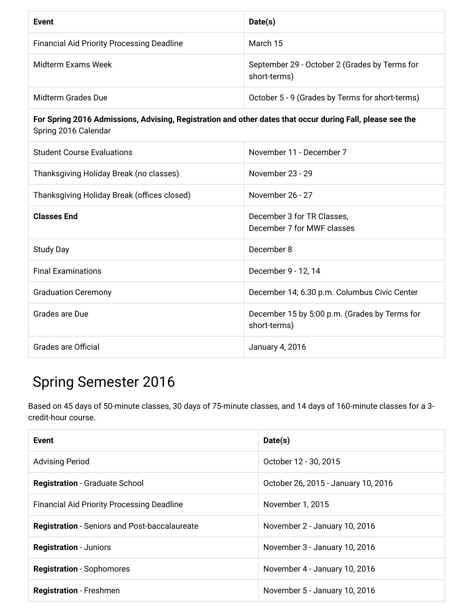| <b>Event</b>                                                                                                                      | Date(s)                                                       |
|-----------------------------------------------------------------------------------------------------------------------------------|---------------------------------------------------------------|
| <b>Financial Aid Priority Processing Deadline</b>                                                                                 | March 15                                                      |
| Midterm Exams Week                                                                                                                | September 29 - October 2 (Grades by Terms for<br>short-terms) |
| <b>Midterm Grades Due</b>                                                                                                         | October 5 - 9 (Grades by Terms for short-terms)               |
| For Spring 2016 Admissions, Advising, Registration and other dates that occur during Fall, please see the<br>Spring 2016 Calendar |                                                               |
| <b>Student Course Evaluations</b>                                                                                                 | November 11 - December 7                                      |
| Thanksgiving Holiday Break (no classes)                                                                                           | November 23 - 29                                              |
| Thanksgiving Holiday Break (offices closed)                                                                                       | November 26 - 27                                              |
| <b>Classes End</b>                                                                                                                | December 3 for TR Classes,<br>December 7 for MWF classes      |
| <b>Study Day</b>                                                                                                                  | December 8                                                    |
| <b>Final Examinations</b>                                                                                                         | December 9 - 12, 14                                           |
| <b>Graduation Ceremony</b>                                                                                                        | December 14; 6:30 p.m. Columbus Civic Center                  |
| Grades are Due                                                                                                                    | December 15 by 5:00 p.m. (Grades by Terms for<br>short-terms) |
| <b>Grades are Official</b>                                                                                                        | January 4, 2016                                               |

### **Spring Semester 2016**

Based on 45 days of 50-minute classes, 30 days of 75-minute classes, and 14 days of 160-minute classes for a 3credit-hour course.

| Event                                                | Date(s)                             |
|------------------------------------------------------|-------------------------------------|
| <b>Advising Period</b>                               | October 12 - 30, 2015               |
| <b>Registration - Graduate School</b>                | October 26, 2015 - January 10, 2016 |
| <b>Financial Aid Priority Processing Deadline</b>    | November 1, 2015                    |
| <b>Registration</b> - Seniors and Post-baccalaureate | November 2 - January 10, 2016       |
| <b>Registration - Juniors</b>                        | November 3 - January 10, 2016       |
| <b>Registration</b> - Sophomores                     | November 4 - January 10, 2016       |
| <b>Registration</b> - Freshmen                       | November 5 - January 10, 2016       |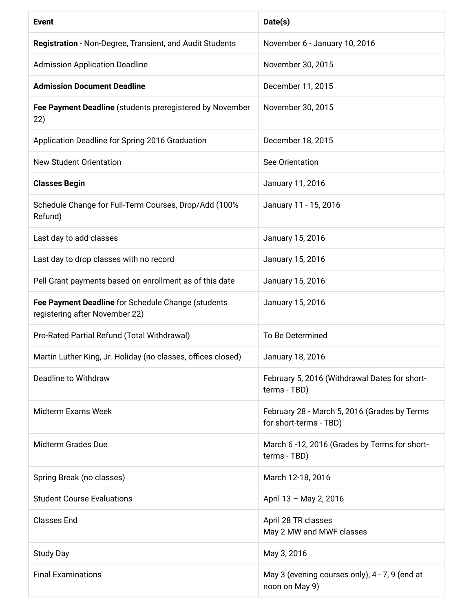| <b>Event</b>                                                                         | Date(s)                                                                |
|--------------------------------------------------------------------------------------|------------------------------------------------------------------------|
| Registration - Non-Degree, Transient, and Audit Students                             | November 6 - January 10, 2016                                          |
| <b>Admission Application Deadline</b>                                                | November 30, 2015                                                      |
| <b>Admission Document Deadline</b>                                                   | December 11, 2015                                                      |
| Fee Payment Deadline (students preregistered by November<br>22)                      | November 30, 2015                                                      |
| Application Deadline for Spring 2016 Graduation                                      | December 18, 2015                                                      |
| <b>New Student Orientation</b>                                                       | See Orientation                                                        |
| <b>Classes Begin</b>                                                                 | January 11, 2016                                                       |
| Schedule Change for Full-Term Courses, Drop/Add (100%<br>Refund)                     | January 11 - 15, 2016                                                  |
| Last day to add classes                                                              | January 15, 2016                                                       |
| Last day to drop classes with no record                                              | January 15, 2016                                                       |
| Pell Grant payments based on enrollment as of this date                              | January 15, 2016                                                       |
| Fee Payment Deadline for Schedule Change (students<br>registering after November 22) | January 15, 2016                                                       |
| Pro-Rated Partial Refund (Total Withdrawal)                                          | To Be Determined                                                       |
| Martin Luther King, Jr. Holiday (no classes, offices closed)                         | January 18, 2016                                                       |
| Deadline to Withdraw                                                                 | February 5, 2016 (Withdrawal Dates for short-<br>terms - TBD)          |
| Midterm Exams Week                                                                   | February 28 - March 5, 2016 (Grades by Terms<br>for short-terms - TBD) |
| <b>Midterm Grades Due</b>                                                            | March 6 -12, 2016 (Grades by Terms for short-<br>terms - TBD)          |
| Spring Break (no classes)                                                            | March 12-18, 2016                                                      |
| <b>Student Course Evaluations</b>                                                    | April 13 - May 2, 2016                                                 |
| <b>Classes End</b>                                                                   | April 28 TR classes<br>May 2 MW and MWF classes                        |
| <b>Study Day</b>                                                                     | May 3, 2016                                                            |
| <b>Final Examinations</b>                                                            | May 3 (evening courses only), 4 - 7, 9 (end at<br>noon on May 9)       |